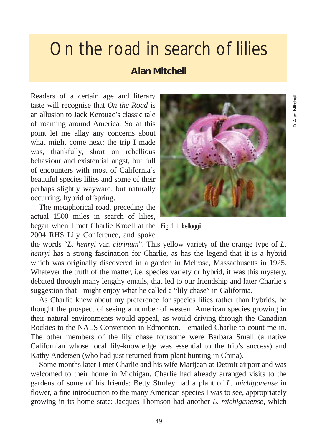## On the road in search of lilies

## **Alan Mitchell**

Readers of a certain age and literary taste will recognise that *On the Road* is an allusion to Jack Kerouac's classic tale of roaming around America. So at this point let me allay any concerns about what might come next: the trip I made was, thankfully, short on rebellious behaviour and existential angst, but full of encounters with most of California's beautiful species lilies and some of their perhaps slightly wayward, but naturally occurring, hybrid offspring.

The metaphorical road, preceding the actual 1500 miles in search of lilies, began when I met Charlie Kroell at the Fig. 1 *L. kelloggii*2004 RHS Lily Conference, and spoke



the words "*L. henryi* var. *citrinum*". This yellow variety of the orange type of *L. henryi* has a strong fascination for Charlie, as has the legend that it is a hybrid which was originally discovered in a garden in Melrose, Massachusetts in 1925. Whatever the truth of the matter, i.e. species variety or hybrid, it was this mystery, debated through many lengthy emails, that led to our friendship and later Charlie's suggestion that I might enjoy what he called a "lily chase" in California.

As Charlie knew about my preference for species lilies rather than hybrids, he thought the prospect of seeing a number of western American species growing in their natural environments would appeal, as would driving through the Canadian Rockies to the NALS Convention in Edmonton. I emailed Charlie to count me in. The other members of the lily chase foursome were Barbara Small (a native Californian whose local lily-knowledge was essential to the trip's success) and Kathy Andersen (who had just returned from plant hunting in China).

Some months later I met Charlie and his wife Marijean at Detroit airport and was welcomed to their home in Michigan. Charlie had already arranged visits to the gardens of some of his friends: Betty Sturley had a plant of *L. michiganense* in flower, a fine introduction to the many American species I was to see, appropriately growing in its home state; Jacques Thomson had another *L. michiganense*, which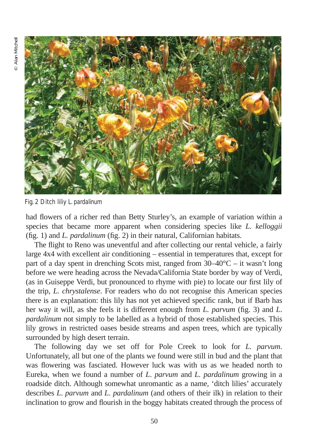

Fig. 2 Ditch liliy *L. pardalinum*

had flowers of a richer red than Betty Sturley's, an example of variation within a species that became more apparent when considering species like *L. kelloggii* (fig. 1) and *L. pardalinum* (fig. 2) in their natural, Californian habitats.

The flight to Reno was uneventful and after collecting our rental vehicle, a fairly large 4x4 with excellent air conditioning – essential in temperatures that, except for part of a day spent in drenching Scots mist, ranged from  $30-40^{\circ}\text{C} - \text{it}$  wasn't long before we were heading across the Nevada/California State border by way of Verdi, (as in Guiseppe Verdi, but pronounced to rhyme with pie) to locate our first lily of the trip, *L. chrystalense*. For readers who do not recognise this American species there is an explanation: this lily has not yet achieved specific rank, but if Barb has her way it will, as she feels it is different enough from *L. parvum* (fig. 3) and *L*. *pardalinum* not simply to be labelled as a hybrid of those established species. This lily grows in restricted oases beside streams and aspen trees, which are typically surrounded by high desert terrain.

The following day we set off for Pole Creek to look for *L. parvum*. Unfortunately, all but one of the plants we found were still in bud and the plant that was flowering was fasciated. However luck was with us as we headed north to Eureka, when we found a number of *L*. *parvum* and *L. pardalinum* growing in a roadside ditch. Although somewhat unromantic as a name, 'ditch lilies' accurately describes *L*. *parvum* and *L*. *pardalinum* (and others of their ilk) in relation to their inclination to grow and flourish in the boggy habitats created through the process of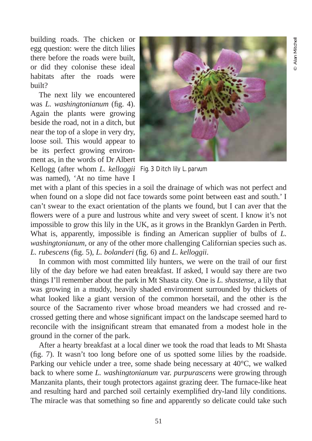building roads. The chicken or egg question: were the ditch lilies there before the roads were built, or did they colonise these ideal habitats after the roads were built?

The next lily we encountered was *L. washingtonianum* (fig. 4). Again the plants were growing beside the road, not in a ditch, but near the top of a slope in very dry, loose soil. This would appear to be its perfect growing environment as, in the words of Dr Albert

was named), 'At no time have I



Kellogg (after whom *L. kelloggii* Fig. 3 Ditch lily *L*. *parvum*

met with a plant of this species in a soil the drainage of which was not perfect and when found on a slope did not face towards some point between east and south.' I can't swear to the exact orientation of the plants we found, but I can aver that the flowers were of a pure and lustrous white and very sweet of scent. I know it's not impossible to grow this lily in the UK, as it grows in the Branklyn Garden in Perth. What is, apparently, impossible is finding an American supplier of bulbs of *L. washingtonianum*, or any of the other more challenging Californian species such as. *L. rubescens* (fig. 5), *L. bolanderi* (fig. 6) and *L*. *kelloggii*.

In common with most committed lily hunters, we were on the trail of our first lily of the day before we had eaten breakfast. If asked, I would say there are two things I'll remember about the park in Mt Shasta city. One is *L. shastense*, a lily that was growing in a muddy, heavily shaded environment surrounded by thickets of what looked like a giant version of the common horsetail, and the other is the source of the Sacramento river whose broad meanders we had crossed and recrossed getting there and whose significant impact on the landscape seemed hard to reconcile with the insignificant stream that emanated from a modest hole in the ground in the corner of the park.

After a hearty breakfast at a local diner we took the road that leads to Mt Shasta (fig. 7). It wasn't too long before one of us spotted some lilies by the roadside. Parking our vehicle under a tree, some shade being necessary at 40°C, we walked back to where some *L. washingtonianum* var. *purpurascens* were growing through Manzanita plants, their tough protectors against grazing deer. The furnace-like heat and resulting hard and parched soil certainly exemplified dry-land lily conditions. The miracle was that something so fine and apparently so delicate could take such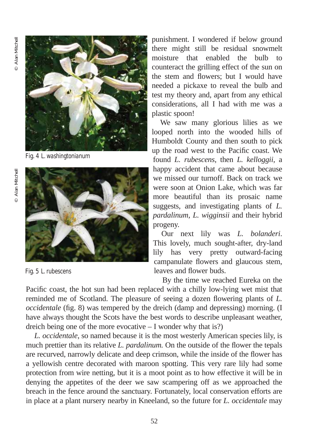<sup>©</sup> Alan Mitchell © Alan Mitchell

![](_page_3_Picture_1.jpeg)

Fig. 4 *L. washingtonianum*

![](_page_3_Picture_4.jpeg)

Fig. 5 *L. rubescens*

punishment. I wondered if below ground there might still be residual snowmelt moisture that enabled the bulb to counteract the grilling effect of the sun on the stem and flowers; but I would have needed a pickaxe to reveal the bulb and test my theory and, apart from any ethical considerations, all I had with me was a plastic spoon!

We saw many glorious lilies as we looped north into the wooded hills of Humboldt County and then south to pick up the road west to the Pacific coast. We found *L. rubescens*, then *L. kelloggii*, a happy accident that came about because we missed our turnoff. Back on track we were soon at Onion Lake, which was far more beautiful than its prosaic name suggests, and investigating plants of *L. pardalinum*, *L. wigginsii* and their hybrid progeny.

Our next lily was *L. bolanderi*. This lovely, much sought-after, dry-land lily has very pretty outward-facing campanulate flowers and glaucous stem, leaves and flower buds.

By the time we reached Eureka on the Pacific coast, the hot sun had been replaced with a chilly low-lying wet mist that reminded me of Scotland. The pleasure of seeing a dozen flowering plants of *L. occidentale* (fig. 8) was tempered by the dreich (damp and depressing) morning. (I have always thought the Scots have the best words to describe unpleasant weather, dreich being one of the more evocative – I wonder why that is?)

*L. occidentale*, so named because it is the most westerly American species lily, is much prettier than its relative *L. pardalinum.* On the outside of the flower the tepals are recurved, narrowly delicate and deep crimson, while the inside of the flower has a yellowish centre decorated with maroon spotting. This very rare lily had some protection from wire netting, but it is a moot point as to how effective it will be in denying the appetites of the deer we saw scampering off as we approached the breach in the fence around the sanctuary. Fortunately, local conservation efforts are in place at a plant nursery nearby in Kneeland, so the future for *L. occidentale* may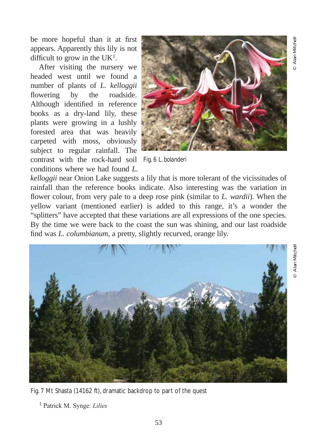© Alan Mitchell

Alan Mitchel

be more hopeful than it at first appears. Apparently this lily is not difficult to grow in the  $UK<sup>1</sup>$ .

After visiting the nursery we headed west until we found a number of plants of *L. kelloggii* flowering by the roadside. Although identified in reference books as a dry-land lily, these plants were growing in a lushly forested area that was heavily carpeted with moss, obviously subject to regular rainfall. The contrast with the rock-hard soil Fig. 6 *L. bolanderi* conditions where we had found *L.*

![](_page_4_Picture_3.jpeg)

*kelloggii* near Onion Lake suggests a lily that is more tolerant of the vicissitudes of rainfall than the reference books indicate. Also interesting was the variation in flower colour, from very pale to a deep rose pink (similar to *L. wardii*). When the yellow variant (mentioned earlier) is added to this range, it's a wonder the "splitters" have accepted that these variations are all expressions of the one species. By the time we were back to the coast the sun was shining, and our last roadside find was *L. columbianum*, a pretty, slightly recurved, orange lily.

![](_page_4_Picture_6.jpeg)

Fig. 7 Mt Shasta (14162 ft), dramatic backdrop to part of the quest

<sup>1</sup> Patrick M. Synge: *Lilies*